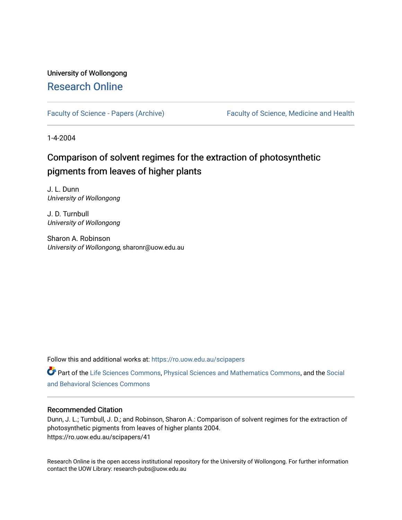## University of Wollongong [Research Online](https://ro.uow.edu.au/)

[Faculty of Science - Papers \(Archive\)](https://ro.uow.edu.au/scipapers) Faculty of Science, Medicine and Health

1-4-2004

# Comparison of solvent regimes for the extraction of photosynthetic pigments from leaves of higher plants

J. L. Dunn University of Wollongong

J. D. Turnbull University of Wollongong

Sharon A. Robinson University of Wollongong, sharonr@uow.edu.au

Follow this and additional works at: [https://ro.uow.edu.au/scipapers](https://ro.uow.edu.au/scipapers?utm_source=ro.uow.edu.au%2Fscipapers%2F41&utm_medium=PDF&utm_campaign=PDFCoverPages)

Part of the [Life Sciences Commons,](http://network.bepress.com/hgg/discipline/1016?utm_source=ro.uow.edu.au%2Fscipapers%2F41&utm_medium=PDF&utm_campaign=PDFCoverPages) [Physical Sciences and Mathematics Commons,](http://network.bepress.com/hgg/discipline/114?utm_source=ro.uow.edu.au%2Fscipapers%2F41&utm_medium=PDF&utm_campaign=PDFCoverPages) and the [Social](http://network.bepress.com/hgg/discipline/316?utm_source=ro.uow.edu.au%2Fscipapers%2F41&utm_medium=PDF&utm_campaign=PDFCoverPages)  [and Behavioral Sciences Commons](http://network.bepress.com/hgg/discipline/316?utm_source=ro.uow.edu.au%2Fscipapers%2F41&utm_medium=PDF&utm_campaign=PDFCoverPages) 

## Recommended Citation

Dunn, J. L.; Turnbull, J. D.; and Robinson, Sharon A.: Comparison of solvent regimes for the extraction of photosynthetic pigments from leaves of higher plants 2004. https://ro.uow.edu.au/scipapers/41

Research Online is the open access institutional repository for the University of Wollongong. For further information contact the UOW Library: research-pubs@uow.edu.au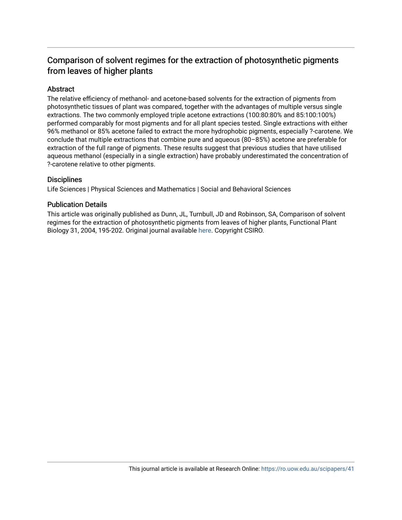## Comparison of solvent regimes for the extraction of photosynthetic pigments from leaves of higher plants

## Abstract

The relative efficiency of methanol- and acetone-based solvents for the extraction of pigments from photosynthetic tissues of plant was compared, together with the advantages of multiple versus single extractions. The two commonly employed triple acetone extractions (100:80:80% and 85:100:100%) performed comparably for most pigments and for all plant species tested. Single extractions with either 96% methanol or 85% acetone failed to extract the more hydrophobic pigments, especially ?-carotene. We conclude that multiple extractions that combine pure and aqueous (80–85%) acetone are preferable for extraction of the full range of pigments. These results suggest that previous studies that have utilised aqueous methanol (especially in a single extraction) have probably underestimated the concentration of ?-carotene relative to other pigments.

## **Disciplines**

Life Sciences | Physical Sciences and Mathematics | Social and Behavioral Sciences

## Publication Details

This article was originally published as Dunn, JL, Turnbull, JD and Robinson, SA, Comparison of solvent regimes for the extraction of photosynthetic pigments from leaves of higher plants, Functional Plant Biology 31, 2004, 195-202. Original journal available [here.](http://www.publish.csiro.au/nid/102.htm) Copyright CSIRO.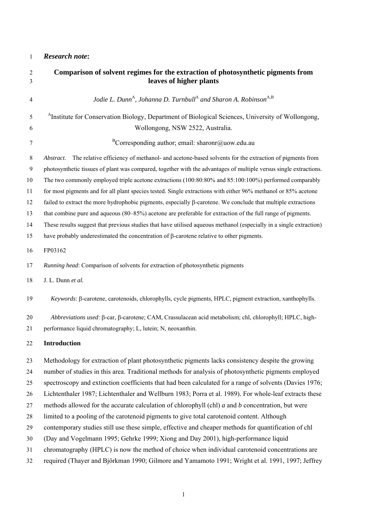## 1 *Research note***:**

| $\sqrt{2}$<br>3 | Comparison of solvent regimes for the extraction of photosynthetic pigments from<br>leaves of higher plants          |
|-----------------|----------------------------------------------------------------------------------------------------------------------|
| 4               | Jodie L. Dunn <sup>A</sup> , Johanna D. Turnbull <sup>A</sup> and Sharon A. Robinson <sup>A,B</sup>                  |
| 5               | <sup>A</sup> Institute for Conservation Biology, Department of Biological Sciences, University of Wollongong,        |
| 6               | Wollongong, NSW 2522, Australia.                                                                                     |
| 7               | <sup>B</sup> Corresponding author; email: sharonr@uow.edu.au                                                         |
| $8\,$           | The relative efficiency of methanol- and acetone-based solvents for the extraction of pigments from<br>Abstract.     |
| 9               | photosynthetic tissues of plant was compared, together with the advantages of multiple versus single extractions.    |
| 10              | The two commonly employed triple acetone extractions (100:80:80% and 85:100:100%) performed comparably               |
| 11              | for most pigments and for all plant species tested. Single extractions with either 96% methanol or 85% acetone       |
| 12              | failed to extract the more hydrophobic pigments, especially $\beta$ -carotene. We conclude that multiple extractions |
| 13              | that combine pure and aqueous (80–85%) acetone are preferable for extraction of the full range of pigments.          |
| 14              | These results suggest that previous studies that have utilised aqueous methanol (especially in a single extraction)  |
| 15              | have probably underestimated the concentration of $\beta$ -carotene relative to other pigments.                      |
| 16              | FP03162                                                                                                              |
| 17              | Running head: Comparison of solvents for extraction of photosynthetic pigments                                       |
| 18              | J. L. Dunn et al.                                                                                                    |
| 19              | Keywords: β-carotene, carotenoids, chlorophylls, cycle pigments, HPLC, pigment extraction, xanthophylls.             |
| 20              | Abbreviations used: B-car, B-carotene; CAM, Crassulacean acid metabolism; chl, chlorophyll; HPLC, high-              |
| 21              | performance liquid chromatography; L, lutein; N, neoxanthin.                                                         |
| 22              | <b>Introduction</b>                                                                                                  |
| 23              | Methodology for extraction of plant photosynthetic pigments lacks consistency despite the growing                    |
| 24              | number of studies in this area. Traditional methods for analysis of photosynthetic pigments employed                 |
| 25              | spectroscopy and extinction coefficients that had been calculated for a range of solvents (Davies 1976;              |
| 26              | Lichtenthaler 1987; Lichtenthaler and Wellburn 1983; Porra et al. 1989). For whole-leaf extracts these               |
| 27              | methods allowed for the accurate calculation of chlorophyll (chl) <i>a</i> and <i>b</i> concentration, but were      |
| 28              | limited to a pooling of the carotenoid pigments to give total carotenoid content. Although                           |
| 29              | contemporary studies still use these simple, effective and cheaper methods for quantification of chl                 |
| 30              | (Day and Vogelmann 1995; Gehrke 1999; Xiong and Day 2001), high-performance liquid                                   |
| 31              | chromatography (HPLC) is now the method of choice when individual carotenoid concentrations are                      |
| 32              | required (Thayer and Björkman 1990; Gilmore and Yamamoto 1991; Wright et al. 1991, 1997; Jeffrey                     |

1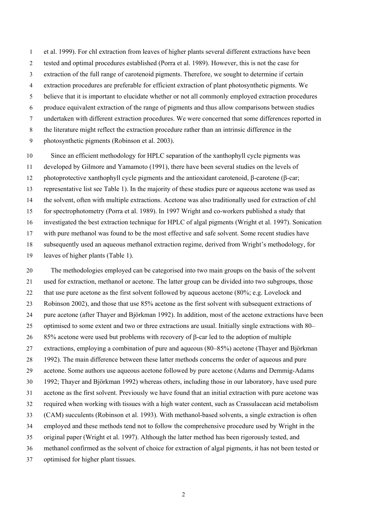1 et al. 1999). For chl extraction from leaves of higher plants several different extractions have been

- 2 tested and optimal procedures established (Porra et al. 1989). However, this is not the case for
- 3 extraction of the full range of carotenoid pigments. Therefore, we sought to determine if certain
- 4 extraction procedures are preferable for efficient extraction of plant photosynthetic pigments. We
- 5 believe that it is important to elucidate whether or not all commonly employed extraction procedures
- 6 produce equivalent extraction of the range of pigments and thus allow comparisons between studies
- 7 undertaken with different extraction procedures. We were concerned that some differences reported in
- 8 the literature might reflect the extraction procedure rather than an intrinsic difference in the
- 9 photosynthetic pigments (Robinson et al. 2003).

10 Since an efficient methodology for HPLC separation of the xanthophyll cycle pigments was 11 developed by Gilmore and Yamamoto (1991), there have been several studies on the levels of 12 photoprotective xanthophyll cycle pigments and the antioxidant carotenoid, β-carotene (β-car; 13 representative list see Table 1). In the majority of these studies pure or aqueous acetone was used as 14 the solvent, often with multiple extractions. Acetone was also traditionally used for extraction of chl 15 for spectrophotometry (Porra et al. 1989). In 1997 Wright and co-workers published a study that 16 investigated the best extraction technique for HPLC of algal pigments (Wright et al. 1997). Sonication 17 with pure methanol was found to be the most effective and safe solvent. Some recent studies have 18 subsequently used an aqueous methanol extraction regime, derived from Wright's methodology, for 19 leaves of higher plants (Table 1).

20 The methodologies employed can be categorised into two main groups on the basis of the solvent 21 used for extraction, methanol or acetone. The latter group can be divided into two subgroups, those 22 that use pure acetone as the first solvent followed by aqueous acetone (80%; e.g. Lovelock and 23 Robinson 2002), and those that use 85% acetone as the first solvent with subsequent extractions of 24 pure acetone (after Thayer and Björkman 1992). In addition, most of the acetone extractions have been 25 optimised to some extent and two or three extractions are usual. Initially single extractions with 80– 26 85% acetone were used but problems with recovery of β-car led to the adoption of multiple 27 extractions, employing a combination of pure and aqueous (80–85%) acetone (Thayer and Björkman 28 1992). The main difference between these latter methods concerns the order of aqueous and pure 29 acetone. Some authors use aqueous acetone followed by pure acetone (Adams and Demmig-Adams 30 1992; Thayer and Björkman 1992) whereas others, including those in our laboratory, have used pure 31 acetone as the first solvent. Previously we have found that an initial extraction with pure acetone was 32 required when working with tissues with a high water content, such as Crassulacean acid metabolism 33 (CAM) succulents (Robinson et al. 1993). With methanol-based solvents, a single extraction is often 34 employed and these methods tend not to follow the comprehensive procedure used by Wright in the 35 original paper (Wright et al. 1997). Although the latter method has been rigorously tested, and 36 methanol confirmed as the solvent of choice for extraction of algal pigments, it has not been tested or 37 optimised for higher plant tissues.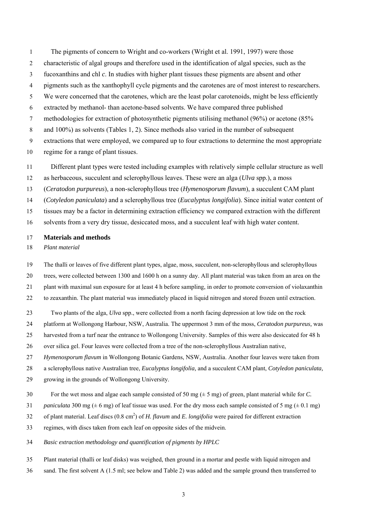1 The pigments of concern to Wright and co-workers (Wright et al. 1991, 1997) were those 2 characteristic of algal groups and therefore used in the identification of algal species, such as the 3 fucoxanthins and chl *c*. In studies with higher plant tissues these pigments are absent and other 4 pigments such as the xanthophyll cycle pigments and the carotenes are of most interest to researchers. 5 We were concerned that the carotenes, which are the least polar carotenoids, might be less efficiently 6 extracted by methanol- than acetone-based solvents. We have compared three published 7 methodologies for extraction of photosynthetic pigments utilising methanol (96%) or acetone (85% 8 and 100%) as solvents (Tables 1, 2). Since methods also varied in the number of subsequent 9 extractions that were employed, we compared up to four extractions to determine the most appropriate 10 regime for a range of plant tissues.

- 11 Different plant types were tested including examples with relatively simple cellular structure as well
- 12 as herbaceous, succulent and sclerophyllous leaves. These were an alga (*Ulva* spp.), a moss

13 (*Ceratodon purpureus*), a non-sclerophyllous tree (*Hymenosporum flavum*), a succulent CAM plant

14 (*Cotyledon paniculata*) and a sclerophyllous tree (*Eucalyptus longifolia*). Since initial water content of

15 tissues may be a factor in determining extraction efficiency we compared extraction with the different

16 solvents from a very dry tissue, desiccated moss, and a succulent leaf with high water content.

#### 17 **Materials and methods**

18 *Plant material* 

19 The thalli or leaves of five different plant types, algae, moss, succulent, non-sclerophyllous and sclerophyllous

20 trees, were collected between 1300 and 1600 h on a sunny day. All plant material was taken from an area on the 21 plant with maximal sun exposure for at least 4 h before sampling, in order to promote conversion of violaxanthin

22 to zeaxanthin. The plant material was immediately placed in liquid nitrogen and stored frozen until extraction.

23 Two plants of the alga, *Ulva* spp., were collected from a north facing depression at low tide on the rock

24 platform at Wollongong Harbour, NSW, Australia. The uppermost 3 mm of the moss, *Ceratodon purpureus,* was

25 harvested from a turf near the entrance to Wollongong University. Samples of this were also desiccated for 48 h

26 over silica gel. Four leaves were collected from a tree of the non-sclerophyllous Australian native,

27 *Hymenosporum flavum* in Wollongong Botanic Gardens, NSW, Australia. Another four leaves were taken from

28 a sclerophyllous native Australian tree, *Eucalyptus longifolia,* and a succulent CAM plant, *Cotyledon paniculata,*

- 29 growing in the grounds of Wollongong University.
- 30 For the wet moss and algae each sample consisted of 50 mg (± 5 mg) of green, plant material while for *C.*

31 *paniculata* 300 mg ( $\pm$  6 mg) of leaf tissue was used. For the dry moss each sample consisted of 5 mg ( $\pm$  0.1 mg)

- 32 of plant material. Leaf discs (0.8 cm<sup>2</sup>) of *H. flavum* and *E. longifolia* were paired for different extraction
- 33 regimes, with discs taken from each leaf on opposite sides of the midvein.
- 34 *Basic extraction methodology and quantification of pigments by HPLC*
- 35 Plant material (thalli or leaf disks) was weighed, then ground in a mortar and pestle with liquid nitrogen and
- 36 sand. The first solvent A (1.5 ml; see below and Table 2) was added and the sample ground then transferred to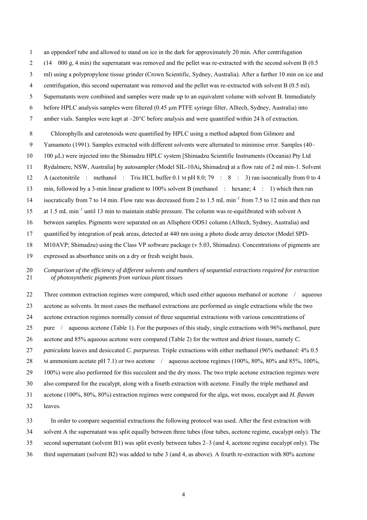- 1 an eppendorf tube and allowed to stand on ice in the dark for approximately 20 min. After centrifugation
- 2 (14 000 *g*, 4 min) the supernatant was removed and the pellet was re-extracted with the second solvent B (0.5
- 3 ml) using a polypropylene tissue grinder (Crown Scientific, Sydney, Australia). After a further 10 min on ice and
- 4 centrifugation, this second supernatant was removed and the pellet was re-extracted with solvent B (0.5 ml).
- 5 Supernatants were combined and samples were made up to an equivalent volume with solvent B. Immediately
- 6 before HPLC analysis samples were filtered (0.45 µm PTFE syringe filter, Alltech, Sydney, Australia) into
- 7 amber vials. Samples were kept at –20°C before analysis and were quantified within 24 h of extraction.
- 8 Chlorophylls and carotenoids were quantified by HPLC using a method adapted from Gilmore and
- 9 Yamamoto (1991). Samples extracted with different solvents were alternated to minimise error. Samples (40–
- 10 100 µL) were injected into the Shimadzu HPLC system [Shimadzu Scientific Instruments (Oceania) Pty Ltd
- 11 Rydalmere, NSW, Australia] by autosampler (Model SIL-10Ai**,** Shimadzu**)** at a flow rate of 2 ml min-1. Solvent
- 12 A (acetonitrile : methanol : Tris HCL buffer 0.1 M pH 8.0; 79 : 8 : 3) ran isocratically from 0 to 4
- 13 min, followed by a 3-min linear gradient to 100% solvent B (methanol : hexane; 4 : 1) which then ran
- 14 isocratically from 7 to 14 min. Flow rate was decreased from 2 to 1.5 mL min<sup>-1</sup> from 7.5 to 12 min and then run
- 15 at 1.5 mL min<sup>-1</sup> until 13 min to maintain stable pressure. The column was re-equilibrated with solvent A
- 16 between samples. Pigments were separated on an Allsphere ODS1 column (Alltech, Sydney, Australia) and
- 17 quantified by integration of peak areas, detected at 440 nm using a photo diode array detector (Model SPD-
- 18 M10AVP; Shimadzu) using the Class VP software package (v 5.03, Shimadzu). Concentrations of pigments are
- 19 expressed as absorbance units on a dry or fresh weight basis.
- 20 *Comparison of the efficiency of different solvents and numbers of sequential extractions required for extraction*  21 *of photosynthetic pigments from various plant tissues*

22 Three common extraction regimes were compared, which used either aqueous methanol or acetone / aqueous 23 acetone as solvents. In most cases the methanol extractions are performed as single extractions while the two 24 acetone extraction regimes normally consist of three sequential extractions with various concentrations of 25 pure / aqueous acetone (Table 1). For the purposes of this study, single extractions with 96% methanol, pure 26 acetone and 85% aqueous acetone were compared (Table 2) for the wettest and driest tissues, namely *C.*  27 *paniculata* leaves and desiccated *C. purpureus*. Triple extractions with either methanol (96% methanol: 4% 0.5 28 M ammonium acetate pH 7.1) or two acetone / aqueous acetone regimes (100%, 80%, 80% and 85%, 100%, 29 100%) were also performed for this succulent and the dry moss. The two triple acetone extraction regimes were 30 also compared for the eucalypt, along with a fourth extraction with acetone. Finally the triple methanol and 31 acetone (100%, 80%, 80%) extraction regimes were compared for the alga, wet moss, eucalypt and *H. flavum* 32 leaves.

- 33 In order to compare sequential extractions the following protocol was used. After the first extraction with
- 34 solvent A the supernatant was split equally between three tubes (four tubes, acetone regime, eucalypt only). The
- 35 second supernatant (solvent B1) was split evenly between tubes 2–3 (and 4, acetone regime eucalypt only). The
- 36 third supernatant (solvent B2) was added to tube 3 (and 4, as above). A fourth re-extraction with 80% acetone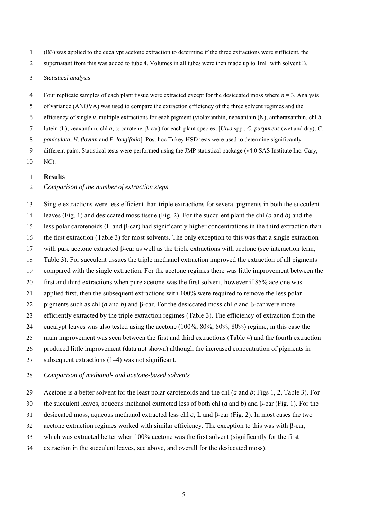- 1 (B3) was applied to the eucalypt acetone extraction to determine if the three extractions were sufficient, the
- 2 supernatant from this was added to tube 4. Volumes in all tubes were then made up to 1mL with solvent B.
- 3 *Statistical analysis*
- 4 Four replicate samples of each plant tissue were extracted except for the desiccated moss where *n* = 3. Analysis
- 5 of variance (ANOVA) was used to compare the extraction efficiency of the three solvent regimes and the
- 6 efficiency of single *v.* multiple extractions for each pigment (violaxanthin, neoxanthin (N), antheraxanthin, chl *b*,
- 7 lutein (L), zeaxanthin, chl *a*, α-carotene, β-car) for each plant species; [*Ulva* spp., *C. purpureus* (wet and dry)*, C.*
- 8 *paniculata*, *H. flavum* and *E. longifolia*]. Post hoc Tukey HSD tests were used to determine significantly
- 9 different pairs. Statistical tests were performed using the JMP statistical package (v4.0 SAS Institute Inc. Cary,
- 10 NC).

#### 11 **Results**

- 12 *Comparison of the number of extraction steps*
- 13 Single extractions were less efficient than triple extractions for several pigments in both the succulent
- 14 leaves (Fig. 1) and desiccated moss tissue (Fig. 2). For the succulent plant the chl (*a* and *b*) and the
- 15 less polar carotenoids (L and β-car) had significantly higher concentrations in the third extraction than
- 16 the first extraction (Table 3) for most solvents. The only exception to this was that a single extraction
- 17 with pure acetone extracted β-car as well as the triple extractions with acetone (see interaction term,
- 18 Table 3). For succulent tissues the triple methanol extraction improved the extraction of all pigments
- 19 compared with the single extraction. For the acetone regimes there was little improvement between the
- 20 first and third extractions when pure acetone was the first solvent, however if 85% acetone was
- 21 applied first, then the subsequent extractions with 100% were required to remove the less polar
- 22 pigments such as chl (*a* and *b*) and β-car. For the desiccated moss chl *a* and β-car were more
- 23 efficiently extracted by the triple extraction regimes (Table 3). The efficiency of extraction from the
- 24 eucalypt leaves was also tested using the acetone (100%, 80%, 80%, 80%) regime, in this case the
- 25 main improvement was seen between the first and third extractions (Table 4) and the fourth extraction
- 26 produced little improvement (data not shown) although the increased concentration of pigments in
- 27 subsequent extractions (1–4) was not significant.
- 28 *Comparison of methanol- and acetone-based solvents*
- 29 Acetone is a better solvent for the least polar carotenoids and the chl (*a* and *b*; Figs 1, 2, Table 3). For
- 30 the succulent leaves, aqueous methanol extracted less of both chl (*a* and *b*) and β-car (Fig. 1). For the
- 31 desiccated moss, aqueous methanol extracted less chl *a*, L and β-car (Fig. 2). In most cases the two
- 32 acetone extraction regimes worked with similar efficiency. The exception to this was with β-car,
- 33 which was extracted better when 100% acetone was the first solvent (significantly for the first
- 34 extraction in the succulent leaves, see above, and overall for the desiccated moss).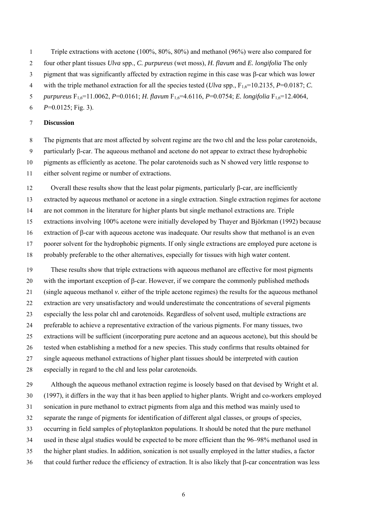1 Triple extractions with acetone (100%, 80%, 80%) and methanol (96%) were also compared for

2 four other plant tissues *Ulva* spp., *C. purpureus* (wet moss), *H. flavum* and *E. longifolia* The only

3 pigment that was significantly affected by extraction regime in this case was β-car which was lower

4 with the triple methanol extraction for all the species tested (*Ulva* spp.,  $F_{16}=10.2135$ , *P*=0.0187; *C*.

5 *purpureus* F1,6=11.0062, *P*=0.0161; *H. flavum* F1,6=4.6116, *P*=0.0754; *E. longifolia* F1,6=12.4064,

6  $P=0.0125$ ; Fig. 3).

### 7 **Discussion**

8 The pigments that are most affected by solvent regime are the two chl and the less polar carotenoids, 9 particularly β-car. The aqueous methanol and acetone do not appear to extract these hydrophobic 10 pigments as efficiently as acetone. The polar carotenoids such as N showed very little response to 11 either solvent regime or number of extractions.

12 Overall these results show that the least polar pigments, particularly β-car, are inefficiently 13 extracted by aqueous methanol or acetone in a single extraction. Single extraction regimes for acetone 14 are not common in the literature for higher plants but single methanol extractions are. Triple 15 extractions involving 100% acetone were initially developed by Thayer and Björkman (1992) because 16 extraction of β-car with aqueous acetone was inadequate. Our results show that methanol is an even 17 poorer solvent for the hydrophobic pigments. If only single extractions are employed pure acetone is 18 probably preferable to the other alternatives, especially for tissues with high water content.

19 These results show that triple extractions with aqueous methanol are effective for most pigments 20 with the important exception of β-car. However, if we compare the commonly published methods 21 (single aqueous methanol *v.* either of the triple acetone regimes) the results for the aqueous methanol 22 extraction are very unsatisfactory and would underestimate the concentrations of several pigments 23 especially the less polar chl and carotenoids. Regardless of solvent used, multiple extractions are 24 preferable to achieve a representative extraction of the various pigments. For many tissues, two 25 extractions will be sufficient (incorporating pure acetone and an aqueous acetone), but this should be 26 tested when establishing a method for a new species. This study confirms that results obtained for 27 single aqueous methanol extractions of higher plant tissues should be interpreted with caution 28 especially in regard to the chl and less polar carotenoids.

29 Although the aqueous methanol extraction regime is loosely based on that devised by Wright et al. 30 (1997), it differs in the way that it has been applied to higher plants. Wright and co-workers employed 31 sonication in pure methanol to extract pigments from alga and this method was mainly used to 32 separate the range of pigments for identification of different algal classes, or groups of species, 33 occurring in field samples of phytoplankton populations. It should be noted that the pure methanol 34 used in these algal studies would be expected to be more efficient than the 96–98% methanol used in 35 the higher plant studies. In addition, sonication is not usually employed in the latter studies, a factor 36 that could further reduce the efficiency of extraction. It is also likely that β-car concentration was less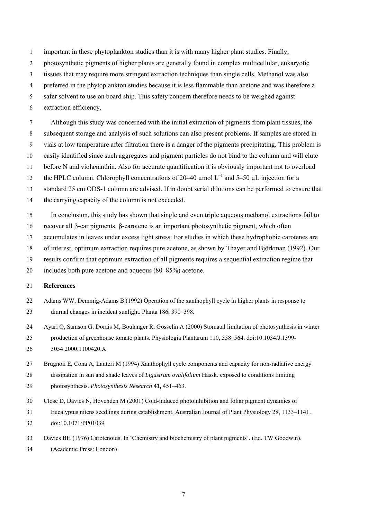- 1 important in these phytoplankton studies than it is with many higher plant studies. Finally,
- 2 photosynthetic pigments of higher plants are generally found in complex multicellular, eukaryotic
- 3 tissues that may require more stringent extraction techniques than single cells. Methanol was also
- 4 preferred in the phytoplankton studies because it is less flammable than acetone and was therefore a
- 5 safer solvent to use on board ship. This safety concern therefore needs to be weighed against
- 6 extraction efficiency.

7 Although this study was concerned with the initial extraction of pigments from plant tissues, the

- 8 subsequent storage and analysis of such solutions can also present problems. If samples are stored in
- 9 vials at low temperature after filtration there is a danger of the pigments precipitating. This problem is
- 10 easily identified since such aggregates and pigment particles do not bind to the column and will elute

11 before N and violaxanthin. Also for accurate quantification it is obviously important not to overload

the HPLC column. Chlorophyll concentrations of  $20-40 \mu$  mol  $L^{-1}$  and  $5-50 \mu$ L injection for a

13 standard 25 cm ODS-1 column are advised. If in doubt serial dilutions can be performed to ensure that

- 14 the carrying capacity of the column is not exceeded.
- 15 In conclusion, this study has shown that single and even triple aqueous methanol extractions fail to
- 16 recover all β-car pigments. β-carotene is an important photosynthetic pigment, which often
- 17 accumulates in leaves under excess light stress. For studies in which these hydrophobic carotenes are
- 18 of interest, optimum extraction requires pure acetone, as shown by Thayer and Björkman (1992). Our
- 19 results confirm that optimum extraction of all pigments requires a sequential extraction regime that
- 20 includes both pure acetone and aqueous (80–85%) acetone.

#### 21 **References**

- 22 Adams WW, Demmig-Adams B (1992) Operation of the xanthophyll cycle in higher plants in response to 23 diurnal changes in incident sunlight. Planta 186, 390–398.
- 24 Ayari O, Samson G, Dorais M, Boulanger R, Gosselin A (2000) Stomatal limitation of photosynthesis in winter 25 production of greenhouse tomato plants. Physiologia Plantarum 110, 558–564. doi:10.1034/J.1399- 26 3054.2000.1100420.X
- 27 Brugnoli E, Cona A, Lauteri M (1994) Xanthophyll cycle components and capacity for non-radiative energy

28 dissipation in sun and shade leaves of *Ligustrum ovalifolium* Hassk. exposed to conditions limiting

- 29 photosynthesis. *Photosynthesis Research* **41,** 451–463.
- 30 Close D, Davies N, Hovenden M (2001) Cold-induced photoinhibition and foliar pigment dynamics of
- 31 Eucalyptus nitens seedlings during establishment. Australian Journal of Plant Physiology 28, 1133–1141.
- 32 doi:10.1071/PP01039
- 33 Davies BH (1976) Carotenoids. In 'Chemistry and biochemistry of plant pigments'. (Ed. TW Goodwin).
- 34 (Academic Press: London)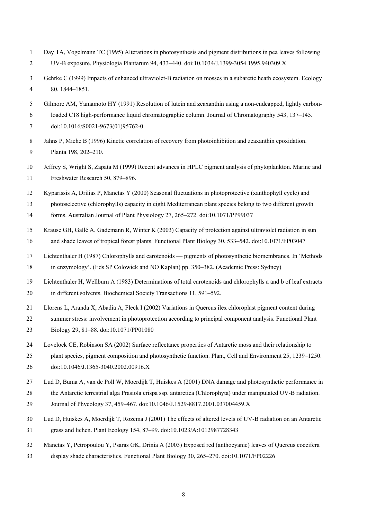| $\overline{2}$ | UV-B exposure. Physiologia Plantarum 94, 433-440. doi:10.1034/J.1399-3054.1995.940309.X                          |
|----------------|------------------------------------------------------------------------------------------------------------------|
| 3              | Gehrke C (1999) Impacts of enhanced ultraviolet-B radiation on mosses in a subarctic heath ecosystem. Ecology    |
| 4              | 80, 1844-1851.                                                                                                   |
| 5              | Gilmore AM, Yamamoto HY (1991) Resolution of lutein and zeaxanthin using a non-endcapped, lightly carbon-        |
| 6              | loaded C18 high-performance liquid chromatographic column. Journal of Chromatography 543, 137–145.               |
| 7              | doi:10.1016/S0021-9673(01)95762-0                                                                                |
| 8              | Jahns P, Miehe B (1996) Kinetic correlation of recovery from photoinhibition and zeaxanthin epoxidation.         |
| 9              | Planta 198, 202-210.                                                                                             |
| 10             | Jeffrey S, Wright S, Zapata M (1999) Recent advances in HPLC pigment analysis of phytoplankton. Marine and       |
| 11             | Freshwater Research 50, 879-896.                                                                                 |
| 12             | Kyparissis A, Drilias P, Manetas Y (2000) Seasonal fluctuations in photoprotective (xanthophyll cycle) and       |
| 13             | photoselective (chlorophylls) capacity in eight Mediterranean plant species belong to two different growth       |
| 14             | forms. Australian Journal of Plant Physiology 27, 265-272. doi:10.1071/PP99037                                   |
| 15             | Krause GH, Gallé A, Gademann R, Winter K (2003) Capacity of protection against ultraviolet radiation in sun      |
| 16             | and shade leaves of tropical forest plants. Functional Plant Biology 30, 533–542. doi:10.1071/FP03047            |
| 17             | Lichtenthaler H (1987) Chlorophylls and carotenoids — pigments of photosynthetic biomembranes. In 'Methods       |
| 18             | in enzymology'. (Eds SP Colowick and NO Kaplan) pp. 350–382. (Academic Press: Sydney)                            |
| 19             | Lichtenthaler H, Wellburn A (1983) Determinations of total carotenoids and chlorophylls a and b of leaf extracts |
| 20             | in different solvents. Biochemical Society Transactions 11, 591-592.                                             |
| 21             | Llorens L, Aranda X, Abadía A, Fleck I (2002) Variations in Quercus ilex chloroplast pigment content during      |
| 22             | summer stress: involvement in photoprotection according to principal component analysis. Functional Plant        |
| 23             | Biology 29, 81-88. doi:10.1071/PP01080                                                                           |
| 24             | Lovelock CE, Robinson SA (2002) Surface reflectance properties of Antarctic moss and their relationship to       |
| 25             | plant species, pigment composition and photosynthetic function. Plant, Cell and Environment 25, 1239–1250.       |
| 26             | doi:10.1046/J.1365-3040.2002.00916.X                                                                             |
| 27             | Lud D, Buma A, van de Poll W, Moerdijk T, Huiskes A (2001) DNA damage and photosynthetic performance in          |
| 28             | the Antarctic terrestrial alga Prasiola crispa ssp. antarctica (Chlorophyta) under manipulated UV-B radiation.   |
| 29             | Journal of Phycology 37, 459-467. doi:10.1046/J.1529-8817.2001.037004459.X                                       |
| 30             | Lud D, Huiskes A, Moerdijk T, Rozema J (2001) The effects of altered levels of UV-B radiation on an Antarctic    |
| 31             | grass and lichen. Plant Ecology 154, 87-99. doi:10.1023/A:1012987728343                                          |
| 32             | Manetas Y, Petropoulou Y, Psaras GK, Drinia A (2003) Exposed red (anthocyanic) leaves of Quercus coccifera       |
| 33             | display shade characteristics. Functional Plant Biology 30, 265-270. doi:10.1071/FP02226                         |
|                |                                                                                                                  |

1 Day TA, Vogelmann TC (1995) Alterations in photosynthesis and pigment distributions in pea leaves following

8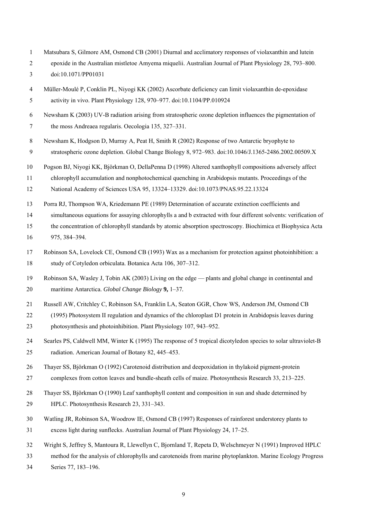- 1 Matsubara S, Gilmore AM, Osmond CB (2001) Diurnal and acclimatory responses of violaxanthin and lutein
- 2 epoxide in the Australian mistletoe Amyema miquelii. Australian Journal of Plant Physiology 28, 793–800.
- 3 doi:10.1071/PP01031
- 4 Müller-Moulé P, Conklin PL, Niyogi KK (2002) Ascorbate deficiency can limit violaxanthin de-epoxidase 5 activity in vivo. Plant Physiology 128, 970–977. doi:10.1104/PP.010924
- 6 Newsham K (2003) UV-B radiation arising from stratospheric ozone depletion influences the pigmentation of 7 the moss Andreaea regularis. Oecologia 135, 327–331.
- 8 Newsham K, Hodgson D, Murray A, Peat H, Smith R (2002) Response of two Antarctic bryophyte to
- 9 stratospheric ozone depletion. Global Change Biology 8, 972–983. doi:10.1046/J.1365-2486.2002.00509.X
- 10 Pogson BJ, Niyogi KK, Björkman O, DellaPenna D (1998) Altered xanthophyll compositions adversely affect

11 chlorophyll accumulation and nonphotochemical quenching in Arabidopsis mutants. Proceedings of the

- 12 National Academy of Sciences USA 95, 13324–13329. doi:10.1073/PNAS.95.22.13324
- 13 Porra RJ, Thompson WA, Kriedemann PE (1989) Determination of accurate extinction coefficients and
- 14 simultaneous equations for assaying chlorophylls a and b extracted with four different solvents: verification of
- 15 the concentration of chlorophyll standards by atomic absorption spectroscopy. Biochimica et Biophysica Acta 16 975, 384–394.
- 17 Robinson SA, Lovelock CE, Osmond CB (1993) Wax as a mechanism for protection against photoinhibition: a 18 study of Cotyledon orbiculata. Botanica Acta 106, 307–312.
- 19 Robinson SA, Wasley J, Tobin AK (2003) Living on the edge plants and global change in continental and 20 maritime Antarctica. *Global Change Biology* **9,** 1–37*.*
- 21 Russell AW, Critchley C, Robinson SA, Franklin LA, Seaton GGR, Chow WS, Anderson JM, Osmond CB
- 22 (1995) Photosystem II regulation and dynamics of the chloroplast D1 protein in Arabidopsis leaves during 23 photosynthesis and photoinhibition. Plant Physiology 107, 943–952.
- 24 Searles PS, Caldwell MM, Winter K (1995) The response of 5 tropical dicotyledon species to solar ultraviolet-B 25 radiation. American Journal of Botany 82, 445–453.
- 26 Thayer SS, Björkman O (1992) Carotenoid distribution and deepoxidation in thylakoid pigment-protein
- 27 complexes from cotton leaves and bundle-sheath cells of maize. Photosynthesis Research 33, 213–225.
- 28 Thayer SS, Björkman O (1990) Leaf xanthophyll content and composition in sun and shade determined by 29 HPLC. Photosynthesis Research 23, 331–343.
- 30 Watling JR, Robinson SA, Woodrow IE, Osmond CB (1997) Responses of rainforest understorey plants to 31 excess light during sunflecks. Australian Journal of Plant Physiology 24, 17–25.
- 32 Wright S, Jeffrey S, Mantoura R, Llewellyn C, Bjornland T, Repeta D, Welschmeyer N (1991) Improved HPLC
- 33 method for the analysis of chlorophylls and carotenoids from marine phytoplankton. Marine Ecology Progress
- 34 Series 77, 183–196.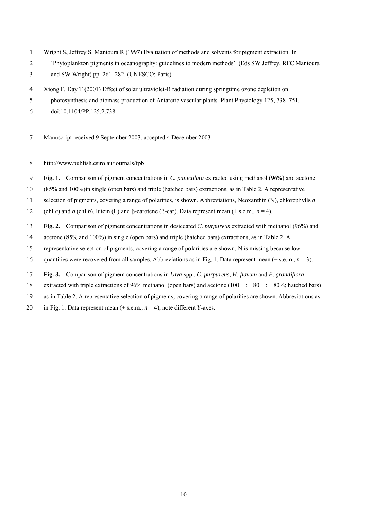- 1 Wright S, Jeffrey S, Mantoura R (1997) Evaluation of methods and solvents for pigment extraction. In
- 2 'Phytoplankton pigments in oceanography: guidelines to modern methods'. (Eds SW Jeffrey, RFC Mantoura
- 3 and SW Wright) pp. 261–282. (UNESCO: Paris)
- 4 Xiong F, Day T (2001) Effect of solar ultraviolet-B radiation during springtime ozone depletion on
- 5 photosynthesis and biomass production of Antarctic vascular plants. Plant Physiology 125, 738–751.
- 6 doi:10.1104/PP.125.2.738
- 7 Manuscript received 9 September 2003, accepted 4 December 2003
- 8 http://www.publish.csiro.au/journals/fpb
- 9 **Fig. 1.** Comparison of pigment concentrations in *C. paniculata* extracted using methanol (96%) and acetone
- 10 (85% and 100%)in single (open bars) and triple (hatched bars) extractions, as in Table 2. A representative
- 11 selection of pigments, covering a range of polarities, is shown. Abbreviations, Neoxanthin (N), chlorophylls *a*
- 12 (chl *a*) and *b* (chl *b*), lutein (L) and β-carotene (β-car). Data represent mean ( $\pm$  s.e.m., *n* = 4).
- 13 **Fig. 2.** Comparison of pigment concentrations in desiccated *C. purpureus* extracted with methanol (96%) and
- 14 acetone (85% and 100%) in single (open bars) and triple (hatched bars) extractions, as in Table 2. A
- 15 representative selection of pigments, covering a range of polarities are shown, N is missing because low
- 16 quantities were recovered from all samples. Abbreviations as in Fig. 1. Data represent mean  $(\pm$  s.e.m.,  $n = 3$ ).
- 17 **Fig. 3.** Comparison of pigment concentrations in *Ulva* spp., *C. purpureus, H. flavum* and *E. grandiflora*
- 18 extracted with triple extractions of 96% methanol (open bars) and acetone (100 : 80 : 80%; hatched bars)
- 19 as in Table 2. A representative selection of pigments, covering a range of polarities are shown. Abbreviations as
- 20 in Fig. 1. Data represent mean  $(\pm s.e.m., n=4)$ , note different *Y*-axes.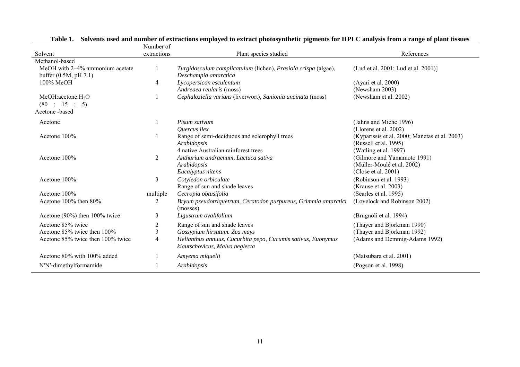| Solvent                                                         | Number of<br>extractions | Plant species studied                                                                          | References                                                                       |
|-----------------------------------------------------------------|--------------------------|------------------------------------------------------------------------------------------------|----------------------------------------------------------------------------------|
| Methanol-based                                                  |                          |                                                                                                |                                                                                  |
| MeOH with 2-4% ammonium acetate<br>buffer $(0.5M, pH 7.1)$      |                          | Turgidosculum complicatulum (lichen), Prasiola crispa (algae),<br>Deschampia antarctica        | (Lud et al. 2001; Lud et al. 2001)]                                              |
| $100\%$ MeOH                                                    | 4                        | Lycopersicon esculentum<br>Andreaea reularis (moss)                                            | (Ayari et al. 2000)<br>(Newsham 2003)                                            |
| MeOH:acetone:H <sub>2</sub> O<br>(80 : 15 : 5)<br>Acetone-based |                          | Cephaloziella varians (liverwort), Sanionia uncinata (moss)                                    | (Newsham et al. 2002)                                                            |
|                                                                 |                          | Pisum sativum                                                                                  |                                                                                  |
| Acetone                                                         |                          | Quercus ilex                                                                                   | (Jahns and Miehe 1996)<br>(Llorens et al. 2002)                                  |
| Acetone 100%                                                    |                          | Range of semi-deciduous and sclerophyll trees<br>Arabidopsis                                   | (Kyparissis et al. 2000; Manetas et al. 2003)<br>(Russell et al. 1995)           |
|                                                                 |                          | 4 native Australian rainforest trees                                                           | (Watling et al. 1997)                                                            |
| Acetone 100%                                                    | $\overline{2}$           | Anthurium andraenum, Lactuca sativa<br>Arabidopsis<br>Eucalyptus nitens                        | (Gilmore and Yamamoto 1991)<br>(Müller-Moulé et al. 2002)<br>(Close et al. 2001) |
| Acetone 100%                                                    | 3                        | Cotyledon orbiculate<br>Range of sun and shade leaves                                          | (Robinson et al. 1993)<br>(Krause et al. 2003)                                   |
| Acetone 100%                                                    | multiple                 | Cecropia obtusifolia                                                                           | (Searles et al. 1995)                                                            |
| Acetone 100% then 80%                                           | 2                        | Bryum pseudotriquetrum, Ceratodon purpureus, Grimmia antarctici<br>(mosses)                    | (Lovelock and Robinson 2002)                                                     |
| Acetone (90%) then 100% twice                                   | 3                        | Ligustrum ovalifolium                                                                          | (Brugnoli et al. 1994)                                                           |
| Acetone 85% twice                                               | $\overline{2}$           | Range of sun and shade leaves                                                                  | (Thayer and Björkman 1990)                                                       |
| Acetone 85% twice then 100%                                     | 3                        | Gossypium hirsutum. Zea mays                                                                   | (Thayer and Björkman 1992)                                                       |
| Acetone 85% twice then 100% twice                               | 4                        | Helianthus annuus, Cucurbita pepo, Cucumis sativus, Euonymus<br>kiautschovicus, Malva neglecta | (Adams and Demmig-Adams 1992)                                                    |
| Acetone 80% with 100% added                                     |                          | Amyema miquelii                                                                                | (Matsubara et al. 2001)                                                          |
| N'N'-dimethylformamide                                          |                          | Arabidopsis                                                                                    | (Pogson et al. 1998)                                                             |

**Table 1. Solvents used and number of extractions employed to extract photosynthetic pigments for HPLC analysis from a range of plant tissues**